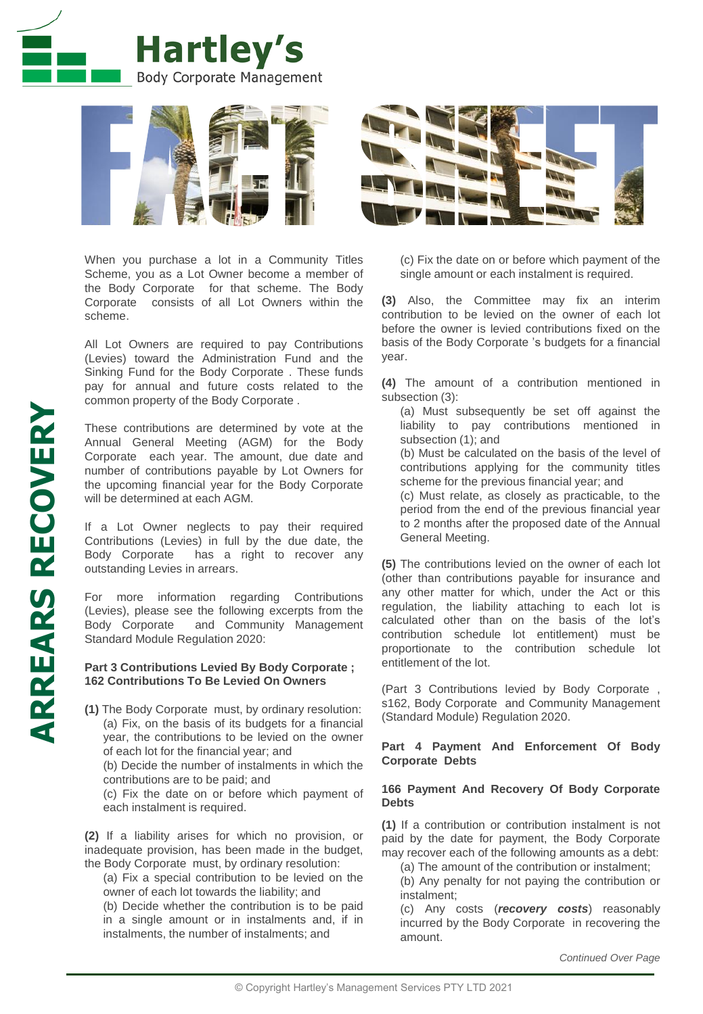



When you purchase a lot in a Community Titles Scheme, you as a Lot Owner become a member of the Body Corporate for that scheme. The Body Corporate consists of all Lot Owners within the scheme.

All Lot Owners are required to pay Contributions (Levies) toward the Administration Fund and the Sinking Fund for the Body Corporate . These funds pay for annual and future costs related to the common property of the Body Corporate .

These contributions are determined by vote at the Annual General Meeting (AGM) for the Body Corporate each year. The amount, due date and number of contributions payable by Lot Owners for the upcoming financial year for the Body Corporate will be determined at each AGM.

If a Lot Owner neglects to pay their required Contributions (Levies) in full by the due date, the Body Corporate has a right to recover any outstanding Levies in arrears.

For more information regarding Contributions (Levies), please see the following excerpts from the Body Corporate and Community Management Standard Module Regulation 2020:

#### **Part 3 Contributions Levied By Body Corporate ; 162 Contributions To Be Levied On Owners**

**(1)** The Body Corporate must, by ordinary resolution: (a) Fix, on the basis of its budgets for a financial year, the contributions to be levied on the owner of each lot for the financial year; and

(b) Decide the number of instalments in which the contributions are to be paid; and

(c) Fix the date on or before which payment of each instalment is required.

**(2)** If a liability arises for which no provision, or inadequate provision, has been made in the budget, the Body Corporate must, by ordinary resolution:

(a) Fix a special contribution to be levied on the owner of each lot towards the liability; and

(b) Decide whether the contribution is to be paid in a single amount or in instalments and, if in instalments, the number of instalments; and



(c) Fix the date on or before which payment of the single amount or each instalment is required.

**(3)** Also, the Committee may fix an interim contribution to be levied on the owner of each lot before the owner is levied contributions fixed on the basis of the Body Corporate 's budgets for a financial year.

**(4)** The amount of a contribution mentioned in subsection (3):

(a) Must subsequently be set off against the liability to pay contributions mentioned in subsection (1); and

(b) Must be calculated on the basis of the level of contributions applying for the community titles scheme for the previous financial year; and

(c) Must relate, as closely as practicable, to the period from the end of the previous financial year to 2 months after the proposed date of the Annual General Meeting.

**(5)** The contributions levied on the owner of each lot (other than contributions payable for insurance and any other matter for which, under the Act or this regulation, the liability attaching to each lot is calculated other than on the basis of the lot's contribution schedule lot entitlement) must be proportionate to the contribution schedule lot entitlement of the lot.

(Part 3 Contributions levied by Body Corporate , s162, Body Corporate and Community Management (Standard Module) Regulation 2020.

## **Part 4 Payment And Enforcement Of Body Corporate Debts**

### **166 Payment And Recovery Of Body Corporate Debts**

**(1)** If a contribution or contribution instalment is not paid by the date for payment, the Body Corporate may recover each of the following amounts as a debt:

(a) The amount of the contribution or instalment;

(b) Any penalty for not paying the contribution or instalment;

(c) Any costs (*recovery costs*) reasonably incurred by the Body Corporate in recovering the amount.